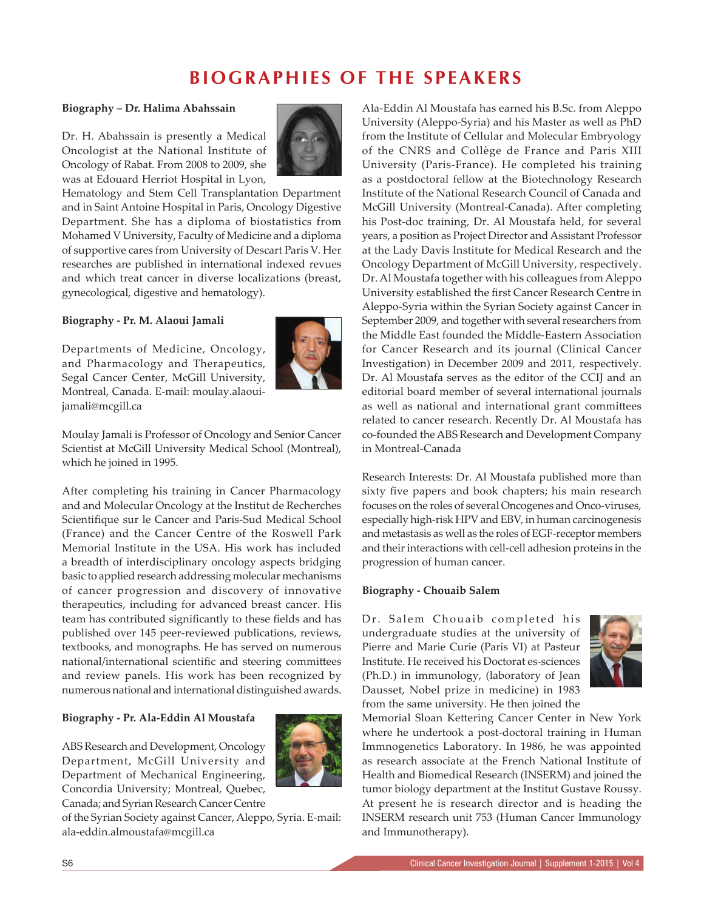# **BIOGRAPHIES OF THE SPEAKERS**

#### **Biography – Dr. Halima Abahssain**

Dr. H. Abahssain is presently a Medical Oncologist at the National Institute of Oncology of Rabat. From 2008 to 2009, she was at Edouard Herriot Hospital in Lyon,



Hematology and Stem Cell Transplantation Department and in Saint Antoine Hospital in Paris, Oncology Digestive Department. She has a diploma of biostatistics from Mohamed V University, Faculty of Medicine and a diploma of supportive cares from University of Descart Paris V. Her researches are published in international indexed revues and which treat cancer in diverse localizations (breast, gynecological, digestive and hematology).

## **Biography - Pr. M. Alaoui Jamali**

Departments of Medicine, Oncology, and Pharmacology and Therapeutics, Segal Cancer Center, McGill University, Montreal, Canada. E-mail: moulay.alaouijamali@mcgill.ca



Moulay Jamali is Professor of Oncology and Senior Cancer Scientist at McGill University Medical School (Montreal), which he joined in 1995.

After completing his training in Cancer Pharmacology and and Molecular Oncology at the Institut de Recherches Scientifique sur le Cancer and Paris-Sud Medical School (France) and the Cancer Centre of the Roswell Park Memorial Institute in the USA. His work has included a breadth of interdisciplinary oncology aspects bridging basic to applied research addressing molecular mechanisms of cancer progression and discovery of innovative therapeutics, including for advanced breast cancer. His team has contributed significantly to these fields and has published over 145 peer-reviewed publications, reviews, textbooks, and monographs. He has served on numerous national/international scientific and steering committees and review panels. His work has been recognized by numerous national and international distinguished awards.

### **Biography - Pr. Ala-Eddin Al Moustafa**

ABS Research and Development, Oncology Department, McGill University and Department of Mechanical Engineering, Concordia University; Montreal, Quebec, Canada; and Syrian Research Cancer Centre



of the Syrian Society against Cancer, Aleppo, Syria. E-mail: ala-eddin.almoustafa@mcgill.ca

Ala-Eddin Al Moustafa has earned his B.Sc. from Aleppo University (Aleppo-Syria) and his Master as well as PhD from the Institute of Cellular and Molecular Embryology of the CNRS and Collège de France and Paris XIII University (Paris-France). He completed his training as a postdoctoral fellow at the Biotechnology Research Institute of the National Research Council of Canada and McGill University (Montreal-Canada). After completing his Post-doc training, Dr. Al Moustafa held, for several years, a position as Project Director and Assistant Professor at the Lady Davis Institute for Medical Research and the Oncology Department of McGill University, respectively. Dr. Al Moustafa together with his colleagues from Aleppo University established the first Cancer Research Centre in Aleppo-Syria within the Syrian Society against Cancer in September 2009, and together with several researchers from the Middle East founded the Middle-Eastern Association for Cancer Research and its journal (Clinical Cancer Investigation) in December 2009 and 2011, respectively. Dr. Al Moustafa serves as the editor of the CCIJ and an editorial board member of several international journals as well as national and international grant committees related to cancer research. Recently Dr. Al Moustafa has co-founded the ABS Research and Development Company in Montreal-Canada

Research Interests: Dr. Al Moustafa published more than sixty five papers and book chapters; his main research focuses on the roles of several Oncogenes and Onco-viruses, especially high-risk HPV and EBV, in human carcinogenesis and metastasis as well as the roles of EGF-receptor members and their interactions with cell-cell adhesion proteins in the progression of human cancer.

### **Biography - Chouaib Salem**

Dr. Salem Chouaib completed his undergraduate studies at the university of Pierre and Marie Curie (Paris VI) at Pasteur Institute. He received his Doctorat es-sciences (Ph.D.) in immunology, (laboratory of Jean Dausset, Nobel prize in medicine) in 1983 from the same university. He then joined the



Memorial Sloan Kettering Cancer Center in New York where he undertook a post-doctoral training in Human Immnogenetics Laboratory. In 1986, he was appointed as research associate at the French National Institute of Health and Biomedical Research (INSERM) and joined the tumor biology department at the Institut Gustave Roussy. At present he is research director and is heading the INSERM research unit 753 (Human Cancer Immunology and Immunotherapy).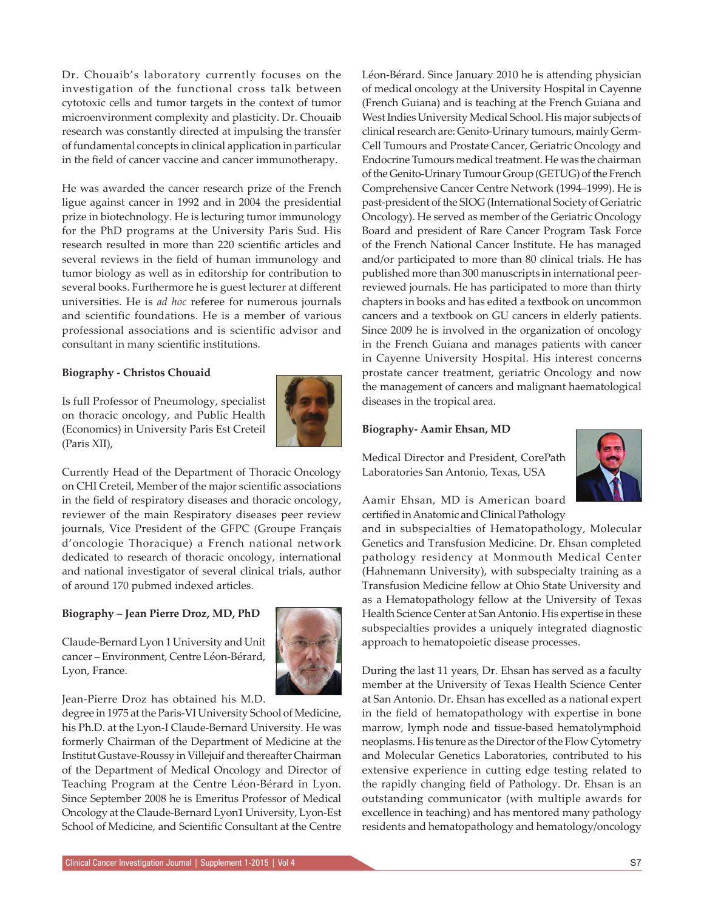Dr. Chouaib's laboratory currently focuses on the investigation of the functional cross talk between cytotoxic cells and tumor targets in the context of tumor microenvironment complexity and plasticity. Dr. Chouaib research was constantly directed at impulsing the transfer of fundamental concepts in clinical application in particular in the field of cancer vaccine and cancer immunotherapy.

He was awarded the cancer research prize of the French ligue against cancer in 1992 and in 2004 the presidential prize in biotechnology. He is lecturing tumor immunology for the PhD programs at the University Paris Sud. His research resulted in more than 220 scientific articles and several reviews in the field of human immunology and tumor biology as well as in editorship for contribution to several books. Furthermore he is guest lecturer at different universities. He is *ad hoc* referee for numerous journals and scientific foundations. He is a member of various professional associations and is scientific advisor and consultant in many scientific institutions.

#### **Biography - Christos Chouaid**

Is full Professor of Pneumology, specialist on thoracic oncology, and Public Health (Economics) in University Paris Est Creteil (Paris XII),



Currently Head of the Department of Thoracic Oncology on CHI Creteil, Member of the major scientific associations in the field of respiratory diseases and thoracic oncology, reviewer of the main Respiratory diseases peer review journals, Vice President of the GFPC (Groupe Français d'oncologie Thoracique) a French national network dedicated to research of thoracic oncology, international and national investigator of several clinical trials, author of around 170 pubmed indexed articles.

#### **Biography – Jean Pierre Droz, MD, PhD**

Claude-Bernard Lyon 1 University and Unit cancer – Environment, Centre Léon-Bérard, Lyon, France.



Jean-Pierre Droz has obtained his M.D.

degree in 1975 at the Paris-VI University School of Medicine, his Ph.D. at the Lyon-I Claude-Bernard University. He was formerly Chairman of the Department of Medicine at the Institut Gustave-Roussy in Villejuif and thereafter Chairman of the Department of Medical Oncology and Director of Teaching Program at the Centre Léon-Bérard in Lyon. Since September 2008 he is Emeritus Professor of Medical Oncology at the Claude-Bernard Lyon1 University, Lyon-Est School of Medicine, and Scientific Consultant at the Centre Léon-Bérard. Since January 2010 he is attending physician of medical oncology at the University Hospital in Cayenne (French Guiana) and is teaching at the French Guiana and West Indies University Medical School. His major subjects of clinical research are: Genito-Urinary tumours, mainly Germ-Cell Tumours and Prostate Cancer, Geriatric Oncology and Endocrine Tumours medical treatment. He was the chairman of the Genito-Urinary Tumour Group (GETUG) of the French Comprehensive Cancer Centre Network (1994–1999). He is past-president of the SIOG (International Society of Geriatric Oncology). He served as member of the Geriatric Oncology Board and president of Rare Cancer Program Task Force of the French National Cancer Institute. He has managed and/or participated to more than 80 clinical trials. He has published more than 300 manuscripts in international peerreviewed journals. He has participated to more than thirty chapters in books and has edited a textbook on uncommon cancers and a textbook on GU cancers in elderly patients. Since 2009 he is involved in the organization of oncology in the French Guiana and manages patients with cancer in Cayenne University Hospital. His interest concerns prostate cancer treatment, geriatric Oncology and now the management of cancers and malignant haematological diseases in the tropical area.

#### **Biography- Aamir Ehsan, MD**

Medical Director and President, CorePath Laboratories San Antonio, Texas, USA



Aamir Ehsan, MD is American board certified in Anatomic and Clinical Pathology

and in subspecialties of Hematopathology, Molecular Genetics and Transfusion Medicine. Dr. Ehsan completed pathology residency at Monmouth Medical Center (Hahnemann University), with subspecialty training as a Transfusion Medicine fellow at Ohio State University and as a Hematopathology fellow at the University of Texas Health Science Center at San Antonio. His expertise in these subspecialties provides a uniquely integrated diagnostic approach to hematopoietic disease processes.

During the last 11 years, Dr. Ehsan has served as a faculty member at the University of Texas Health Science Center at San Antonio. Dr. Ehsan has excelled as a national expert in the field of hematopathology with expertise in bone marrow, lymph node and tissue-based hematolymphoid neoplasms. His tenure as the Director of the Flow Cytometry and Molecular Genetics Laboratories, contributed to his extensive experience in cutting edge testing related to the rapidly changing field of Pathology. Dr. Ehsan is an outstanding communicator (with multiple awards for excellence in teaching) and has mentored many pathology residents and hematopathology and hematology/oncology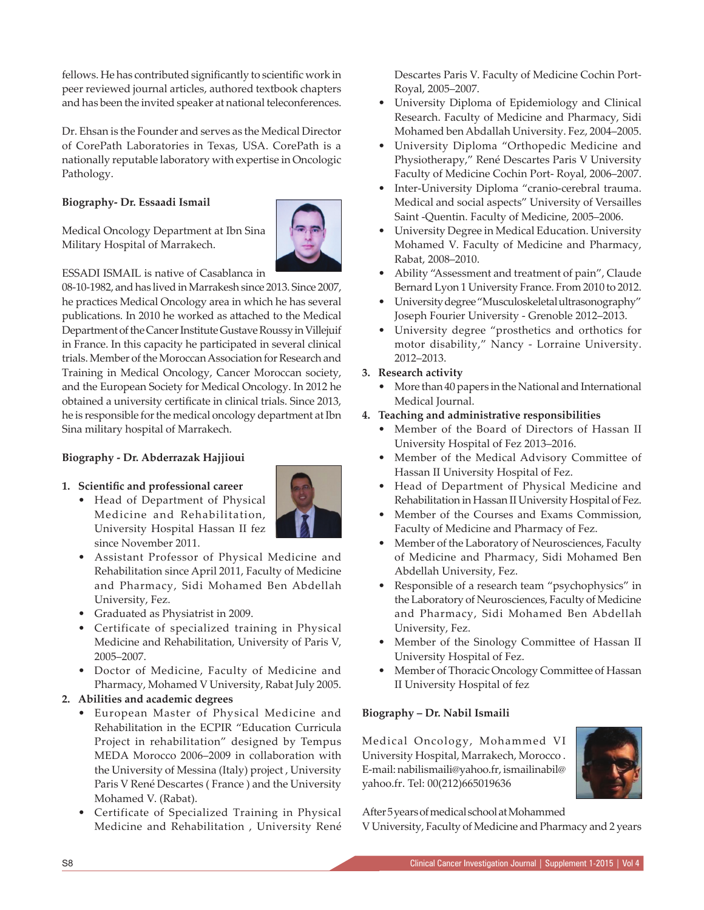fellows. He has contributed significantly to scientific work in peer reviewed journal articles, authored textbook chapters and has been the invited speaker at national teleconferences.

Dr. Ehsan is the Founder and serves as the Medical Director of CorePath Laboratories in Texas, USA. CorePath is a nationally reputable laboratory with expertise in Oncologic Pathology.

# **Biography- Dr. Essaadi Ismail**

Medical Oncology Department at Ibn Sina Military Hospital of Marrakech.



ESSADI ISMAIL is native of Casablanca in

08-10-1982, and has lived in Marrakesh since 2013. Since 2007, he practices Medical Oncology area in which he has several publications. In 2010 he worked as attached to the Medical Department of the Cancer Institute Gustave Roussy in Villejuif in France. In this capacity he participated in several clinical trials. Member of the Moroccan Association for Research and Training in Medical Oncology, Cancer Moroccan society, and the European Society for Medical Oncology. In 2012 he obtained a university certificate in clinical trials. Since 2013, he is responsible for the medical oncology department at Ibn Sina military hospital of Marrakech.

# **Biography - Dr. Abderrazak Hajjioui**



• Head of Department of Physical Medicine and Rehabilitation, University Hospital Hassan II fez since November 2011.



- Assistant Professor of Physical Medicine and Rehabilitation since April 2011, Faculty of Medicine and Pharmacy, Sidi Mohamed Ben Abdellah University, Fez.
- Graduated as Physiatrist in 2009.
- Certificate of specialized training in Physical Medicine and Rehabilitation, University of Paris V, 2005–2007.
- Doctor of Medicine, Faculty of Medicine and Pharmacy, Mohamed V University, Rabat July 2005.

# **2. Abilities and academic degrees**

- European Master of Physical Medicine and Rehabilitation in the ECPIR "Education Curricula Project in rehabilitation" designed by Tempus MEDA Morocco 2006–2009 in collaboration with the University of Messina (Italy) project , University Paris V René Descartes ( France ) and the University Mohamed V. (Rabat).
- Certificate of Specialized Training in Physical Medicine and Rehabilitation , University René

Descartes Paris V. Faculty of Medicine Cochin Port-Royal, 2005–2007.

- University Diploma of Epidemiology and Clinical Research. Faculty of Medicine and Pharmacy, Sidi Mohamed ben Abdallah University. Fez, 2004–2005.
- University Diploma "Orthopedic Medicine and Physiotherapy," René Descartes Paris V University Faculty of Medicine Cochin Port- Royal, 2006–2007.
- Inter-University Diploma "cranio-cerebral trauma. Medical and social aspects" University of Versailles Saint -Quentin. Faculty of Medicine, 2005–2006.
- University Degree in Medical Education. University Mohamed V. Faculty of Medicine and Pharmacy, Rabat, 2008–2010.
- Ability "Assessment and treatment of pain", Claude Bernard Lyon 1 University France. From 2010 to 2012.
- University degree "Musculoskeletal ultrasonography" Joseph Fourier University - Grenoble 2012–2013.
- University degree "prosthetics and orthotics for motor disability," Nancy - Lorraine University. 2012–2013.

## **3. Research activity**

• More than 40 papers in the National and International Medical Journal.

## **4. Teaching and administrative responsibilities**

- Member of the Board of Directors of Hassan II University Hospital of Fez 2013–2016.
- Member of the Medical Advisory Committee of Hassan II University Hospital of Fez.
- Head of Department of Physical Medicine and Rehabilitation in Hassan II University Hospital of Fez.
- Member of the Courses and Exams Commission, Faculty of Medicine and Pharmacy of Fez.
- Member of the Laboratory of Neurosciences, Faculty of Medicine and Pharmacy, Sidi Mohamed Ben Abdellah University, Fez.
- Responsible of a research team "psychophysics" in the Laboratory of Neurosciences, Faculty of Medicine and Pharmacy, Sidi Mohamed Ben Abdellah University, Fez.
- Member of the Sinology Committee of Hassan II University Hospital of Fez.
- Member of Thoracic Oncology Committee of Hassan II University Hospital of fez

# **Biography – Dr. Nabil Ismaili**

Medical Oncology, Mohammed VI University Hospital, Marrakech, Morocco . E-mail: nabilismaili@yahoo.fr, ismailinabil@ yahoo.fr. Tel: 00(212)665019636



After 5 years of medical school at Mohammed

V University, Faculty of Medicine and Pharmacy and 2 years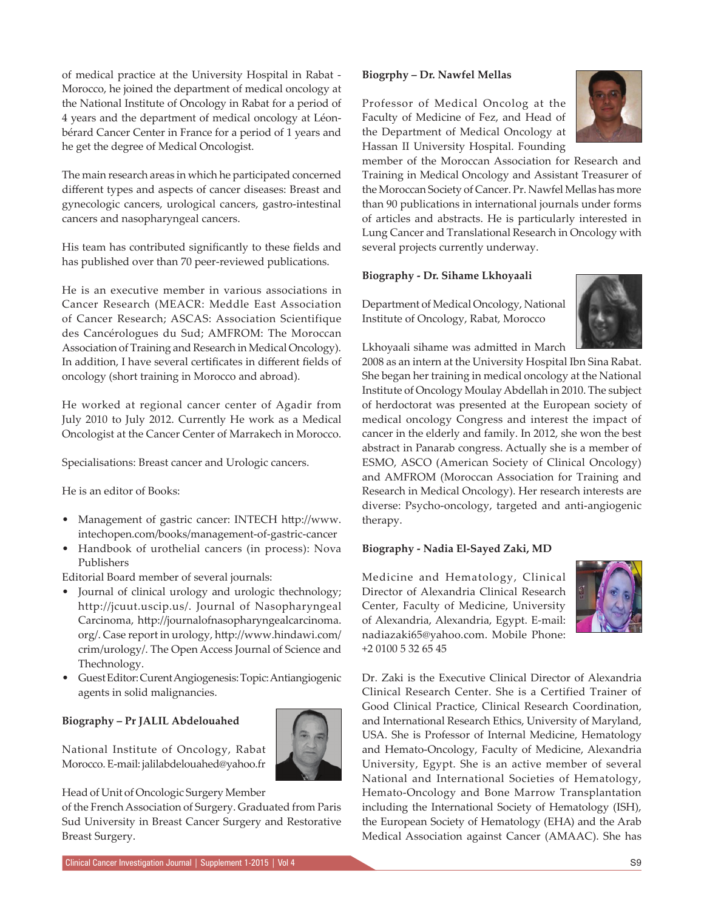of medical practice at the University Hospital in Rabat - Morocco, he joined the department of medical oncology at the National Institute of Oncology in Rabat for a period of 4 years and the department of medical oncology at Léonbérard Cancer Center in France for a period of 1 years and he get the degree of Medical Oncologist.

The main research areas in which he participated concerned different types and aspects of cancer diseases: Breast and gynecologic cancers, urological cancers, gastro-intestinal cancers and nasopharyngeal cancers.

His team has contributed significantly to these fields and has published over than 70 peer-reviewed publications.

He is an executive member in various associations in Cancer Research (MEACR: Meddle East Association of Cancer Research; ASCAS: Association Scientifique des Cancérologues du Sud; AMFROM: The Moroccan Association of Training and Research in Medical Oncology). In addition, I have several certificates in different fields of oncology (short training in Morocco and abroad).

He worked at regional cancer center of Agadir from July 2010 to July 2012. Currently He work as a Medical Oncologist at the Cancer Center of Marrakech in Morocco.

Specialisations: Breast cancer and Urologic cancers.

He is an editor of Books:

- Management of gastric cancer: INTECH http://www. intechopen.com/books/management-of-gastric-cancer
- Handbook of urothelial cancers (in process): Nova Publishers

Editorial Board member of several journals:

- Journal of clinical urology and urologic thechnology; http://jcuut.uscip.us/. Journal of Nasopharyngeal Carcinoma, http://journalofnasopharyngealcarcinoma. org/. Case report in urology, http://www.hindawi.com/ crim/urology/. The Open Access Journal of Science and Thechnology.
- Guest Editor: Curent Angiogenesis: Topic: Antiangiogenic agents in solid malignancies.

# **Biography – Pr JALIL Abdelouahed**

National Institute of Oncology, Rabat Morocco. E-mail: jalilabdelouahed@yahoo.fr



### Head of Unit of Oncologic Surgery Member

of the French Association of Surgery. Graduated from Paris Sud University in Breast Cancer Surgery and Restorative Breast Surgery.

#### **Biogrphy – Dr. Nawfel Mellas**

Professor of Medical Oncolog at the Faculty of Medicine of Fez, and Head of the Department of Medical Oncology at Hassan II University Hospital. Founding



#### **Biography - Dr. Sihame Lkhoyaali**

Department of Medical Oncology, National Institute of Oncology, Rabat, Morocco

Lkhoyaali sihame was admitted in March



2008 as an intern at the University Hospital Ibn Sina Rabat. She began her training in medical oncology at the National Institute of Oncology Moulay Abdellah in 2010. The subject of herdoctorat was presented at the European society of medical oncology Congress and interest the impact of cancer in the elderly and family. In 2012, she won the best abstract in Panarab congress. Actually she is a member of ESMO, ASCO (American Society of Clinical Oncology) and AMFROM (Moroccan Association for Training and Research in Medical Oncology). Her research interests are diverse: Psycho-oncology, targeted and anti-angiogenic therapy.

### **Biography - Nadia El-Sayed Zaki, MD**

Medicine and Hematology, Clinical Director of Alexandria Clinical Research Center, Faculty of Medicine, University of Alexandria, Alexandria, Egypt. E-mail: nadiazaki65@yahoo.com. Mobile Phone: +2 0100 5 32 65 45



Dr. Zaki is the Executive Clinical Director of Alexandria Clinical Research Center. She is a Certified Trainer of Good Clinical Practice, Clinical Research Coordination, and International Research Ethics, University of Maryland, USA. She is Professor of Internal Medicine, Hematology and Hemato-Oncology, Faculty of Medicine, Alexandria University, Egypt. She is an active member of several National and International Societies of Hematology, Hemato-Oncology and Bone Marrow Transplantation including the International Society of Hematology (ISH), the European Society of Hematology (EHA) and the Arab Medical Association against Cancer (AMAAC). She has